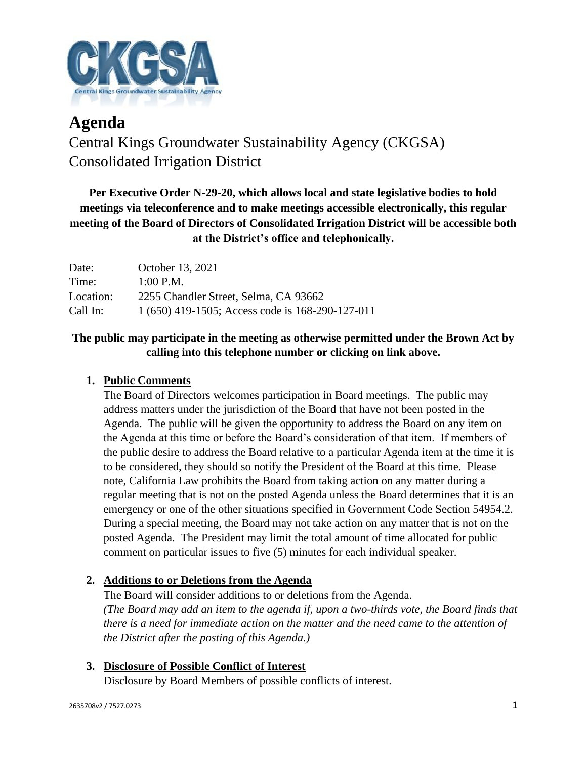

# **Agenda** Central Kings Groundwater Sustainability Agency (CKGSA) Consolidated Irrigation District

**Per Executive Order N-29-20, which allows local and state legislative bodies to hold meetings via teleconference and to make meetings accessible electronically, this regular meeting of the Board of Directors of Consolidated Irrigation District will be accessible both at the District's office and telephonically.**

| Date:     | October 13, 2021                                 |
|-----------|--------------------------------------------------|
| Time:     | $1:00$ P.M.                                      |
| Location: | 2255 Chandler Street, Selma, CA 93662            |
| Call In:  | 1 (650) 419-1505; Access code is 168-290-127-011 |

# **The public may participate in the meeting as otherwise permitted under the Brown Act by calling into this telephone number or clicking on link above.**

# **1. Public Comments**

The Board of Directors welcomes participation in Board meetings. The public may address matters under the jurisdiction of the Board that have not been posted in the Agenda. The public will be given the opportunity to address the Board on any item on the Agenda at this time or before the Board's consideration of that item. If members of the public desire to address the Board relative to a particular Agenda item at the time it is to be considered, they should so notify the President of the Board at this time. Please note, California Law prohibits the Board from taking action on any matter during a regular meeting that is not on the posted Agenda unless the Board determines that it is an emergency or one of the other situations specified in Government Code Section 54954.2. During a special meeting, the Board may not take action on any matter that is not on the posted Agenda. The President may limit the total amount of time allocated for public comment on particular issues to five (5) minutes for each individual speaker.

## **2. Additions to or Deletions from the Agenda**

The Board will consider additions to or deletions from the Agenda. *(The Board may add an item to the agenda if, upon a two-thirds vote, the Board finds that there is a need for immediate action on the matter and the need came to the attention of the District after the posting of this Agenda.)*

## **3. Disclosure of Possible Conflict of Interest**

Disclosure by Board Members of possible conflicts of interest.